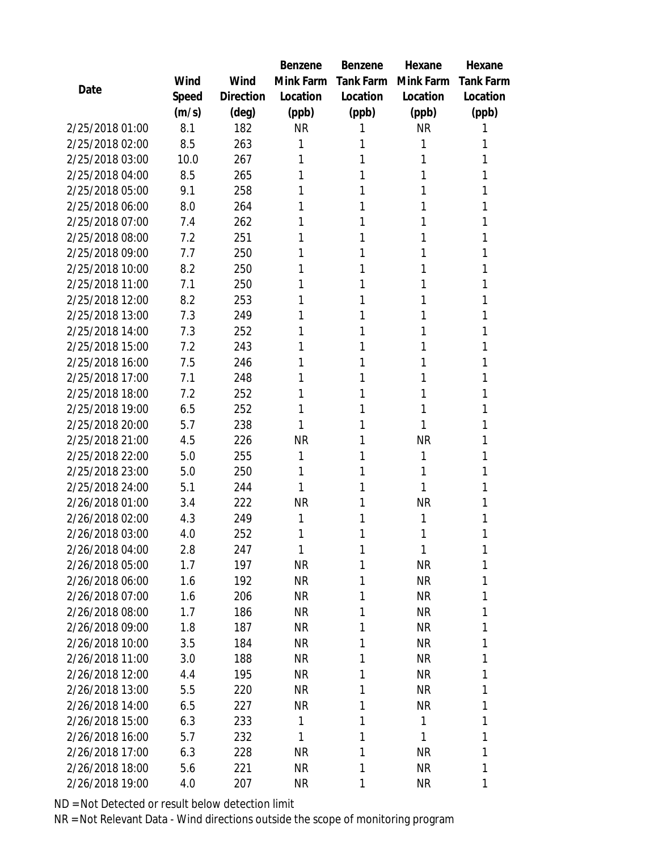|                 |       |           | Benzene   | Benzene      | Hexane       | Hexane           |
|-----------------|-------|-----------|-----------|--------------|--------------|------------------|
|                 | Wind  | Wind      | Mink Farm | Tank Farm    | Mink Farm    | <b>Tank Farm</b> |
| Date            | Speed | Direction | Location  | Location     | Location     | Location         |
|                 | (m/s) | (deg)     | (ppb)     | (ppb)        | (ppb)        | (ppb)            |
| 2/25/2018 01:00 | 8.1   | 182       | <b>NR</b> |              | <b>NR</b>    | 1                |
| 2/25/2018 02:00 | 8.5   | 263       | 1         | 1            | 1            | 1                |
| 2/25/2018 03:00 | 10.0  | 267       | 1         | 1            | 1            | 1                |
| 2/25/2018 04:00 | 8.5   | 265       | 1         | 1            | 1            | 1                |
| 2/25/2018 05:00 | 9.1   | 258       | 1         | 1            | 1            | 1                |
| 2/25/2018 06:00 | 8.0   | 264       | 1         | 1            | 1            | 1                |
| 2/25/2018 07:00 | 7.4   | 262       | 1         | 1            | 1            | 1                |
| 2/25/2018 08:00 | 7.2   | 251       | 1         | 1            | 1            | 1                |
| 2/25/2018 09:00 | 7.7   | 250       |           | 1            | 1            | 1                |
| 2/25/2018 10:00 | 8.2   | 250       | 1         | 1            | 1            | 1                |
| 2/25/2018 11:00 | 7.1   | 250       | 1         | 1            | 1            | 1                |
| 2/25/2018 12:00 | 8.2   | 253       | 1         | 1            | 1            | 1                |
| 2/25/2018 13:00 | 7.3   | 249       | 1         | 1            | 1            | 1                |
| 2/25/2018 14:00 | 7.3   | 252       |           | 1            | 1            | 1                |
| 2/25/2018 15:00 | 7.2   | 243       | 1         | 1            | 1            | 1                |
| 2/25/2018 16:00 | 7.5   | 246       | 1         | 1            | 1            | 1                |
| 2/25/2018 17:00 | 7.1   | 248       | 1         | 1            | 1            | 1                |
| 2/25/2018 18:00 | 7.2   | 252       | 1         | 1            | 1            | 1                |
| 2/25/2018 19:00 | 6.5   | 252       | 1         | 1            | 1            | 1                |
| 2/25/2018 20:00 | 5.7   | 238       | 1         | 1            | 1            | 1                |
| 2/25/2018 21:00 | 4.5   | 226       | <b>NR</b> | 1            | <b>NR</b>    | 1                |
| 2/25/2018 22:00 | 5.0   | 255       | 1         | 1            | 1            | 1                |
| 2/25/2018 23:00 | 5.0   | 250       | 1         | 1            | 1            | 1                |
| 2/25/2018 24:00 | 5.1   | 244       | 1         | 1            | 1            | 1                |
| 2/26/2018 01:00 | 3.4   | 222       | <b>NR</b> | 1            | <b>NR</b>    | 1                |
| 2/26/2018 02:00 | 4.3   | 249       | 1         | 1            | 1            | 1                |
| 2/26/2018 03:00 | 4.0   | 252       | 1         | 1            | 1            | 1                |
| 2/26/2018 04:00 | 2.8   | 247       | 1         | $\mathbf{1}$ | 1            | 1                |
| 2/26/2018 05:00 | 1.7   | 197       | <b>NR</b> | 1            | <b>NR</b>    | 1                |
| 2/26/2018 06:00 | 1.6   | 192       | NR        | 1            | <b>NR</b>    | 1                |
| 2/26/2018 07:00 | 1.6   | 206       | <b>NR</b> | 1            | <b>NR</b>    | 1                |
| 2/26/2018 08:00 | 1.7   | 186       | <b>NR</b> | 1            | <b>NR</b>    | 1                |
| 2/26/2018 09:00 | 1.8   | 187       | <b>NR</b> | 1            | <b>NR</b>    | 1                |
| 2/26/2018 10:00 | 3.5   | 184       | NR        | 1            | <b>NR</b>    | 1                |
| 2/26/2018 11:00 | 3.0   | 188       | NR        | 1            | <b>NR</b>    | 1                |
| 2/26/2018 12:00 | 4.4   | 195       | <b>NR</b> | 1            | <b>NR</b>    | 1                |
| 2/26/2018 13:00 | 5.5   | 220       | <b>NR</b> | 1            | <b>NR</b>    | 1                |
| 2/26/2018 14:00 | 6.5   | 227       | <b>NR</b> | 1            | <b>NR</b>    | 1                |
| 2/26/2018 15:00 | 6.3   | 233       | 1         | 1            | $\mathbf{1}$ | 1                |
| 2/26/2018 16:00 | 5.7   | 232       | 1         | 1            | 1            | 1                |
| 2/26/2018 17:00 | 6.3   | 228       | <b>NR</b> | 1            | <b>NR</b>    | 1                |
| 2/26/2018 18:00 | 5.6   | 221       | <b>NR</b> | 1            | <b>NR</b>    | 1                |
| 2/26/2018 19:00 | 4.0   | 207       | <b>NR</b> | 1            | <b>NR</b>    | 1                |

ND = Not Detected or result below detection limit

NR = Not Relevant Data - Wind directions outside the scope of monitoring program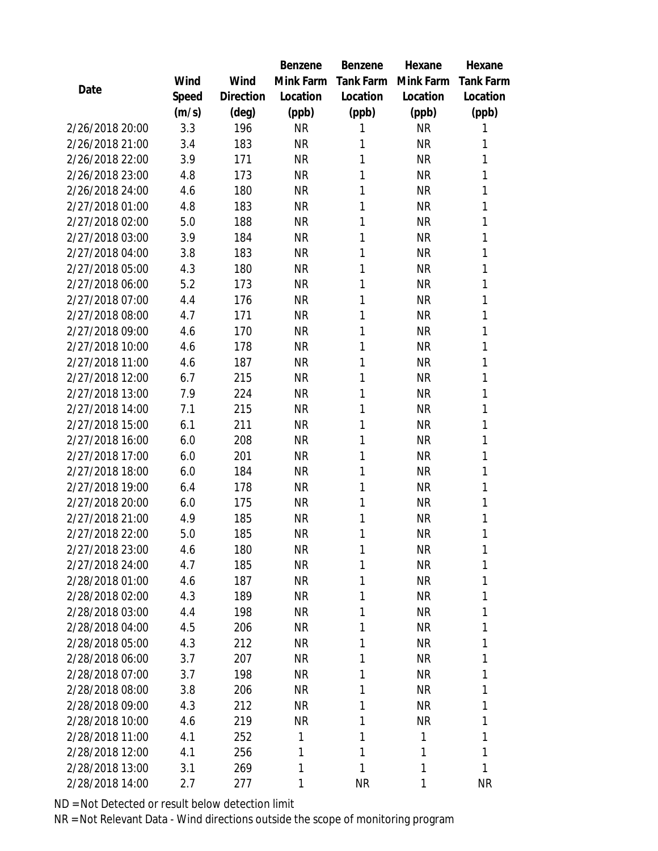|                 |       |           | Benzene   | Benzene          | Hexane    | Hexane           |
|-----------------|-------|-----------|-----------|------------------|-----------|------------------|
|                 | Wind  | Wind      | Mink Farm | <b>Tank Farm</b> | Mink Farm | <b>Tank Farm</b> |
| Date            | Speed | Direction | Location  | Location         | Location  | Location         |
|                 | (m/s) | (deg)     | (ppb)     | (ppb)            | (ppb)     | (ppb)            |
| 2/26/2018 20:00 | 3.3   | 196       | <b>NR</b> | 1                | <b>NR</b> | 1                |
| 2/26/2018 21:00 | 3.4   | 183       | <b>NR</b> | 1                | <b>NR</b> | 1                |
| 2/26/2018 22:00 | 3.9   | 171       | <b>NR</b> | 1                | <b>NR</b> | 1                |
| 2/26/2018 23:00 | 4.8   | 173       | <b>NR</b> | 1                | <b>NR</b> | 1                |
| 2/26/2018 24:00 | 4.6   | 180       | <b>NR</b> | 1                | <b>NR</b> | 1                |
| 2/27/2018 01:00 | 4.8   | 183       | <b>NR</b> | 1                | <b>NR</b> | 1                |
| 2/27/2018 02:00 | 5.0   | 188       | <b>NR</b> | 1                | <b>NR</b> | 1                |
| 2/27/2018 03:00 | 3.9   | 184       | <b>NR</b> | 1                | <b>NR</b> | 1                |
| 2/27/2018 04:00 | 3.8   | 183       | <b>NR</b> | 1                | <b>NR</b> | 1                |
| 2/27/2018 05:00 | 4.3   | 180       | <b>NR</b> | 1                | <b>NR</b> | 1                |
| 2/27/2018 06:00 | 5.2   | 173       | <b>NR</b> | 1                | <b>NR</b> | 1                |
| 2/27/2018 07:00 | 4.4   | 176       | <b>NR</b> | 1                | <b>NR</b> | 1                |
| 2/27/2018 08:00 | 4.7   | 171       | <b>NR</b> | 1                | <b>NR</b> | 1                |
| 2/27/2018 09:00 | 4.6   | 170       | <b>NR</b> | 1                | <b>NR</b> | 1                |
| 2/27/2018 10:00 | 4.6   | 178       | <b>NR</b> | 1                | <b>NR</b> | 1                |
| 2/27/2018 11:00 | 4.6   | 187       | <b>NR</b> | 1                | <b>NR</b> | 1                |
| 2/27/2018 12:00 | 6.7   | 215       | <b>NR</b> | 1                | <b>NR</b> | 1                |
| 2/27/2018 13:00 | 7.9   | 224       | <b>NR</b> | 1                | <b>NR</b> | 1                |
| 2/27/2018 14:00 | 7.1   | 215       | <b>NR</b> | 1                | <b>NR</b> | 1                |
| 2/27/2018 15:00 | 6.1   | 211       | <b>NR</b> | 1                | <b>NR</b> | 1                |
| 2/27/2018 16:00 | 6.0   | 208       | <b>NR</b> | 1                | <b>NR</b> | 1                |
| 2/27/2018 17:00 | 6.0   | 201       | <b>NR</b> | 1                | <b>NR</b> | 1                |
| 2/27/2018 18:00 | 6.0   | 184       | <b>NR</b> | 1                | <b>NR</b> | 1                |
| 2/27/2018 19:00 | 6.4   | 178       | <b>NR</b> | 1                | <b>NR</b> | 1                |
| 2/27/2018 20:00 | 6.0   | 175       | <b>NR</b> | 1                | <b>NR</b> | 1                |
| 2/27/2018 21:00 | 4.9   | 185       | <b>NR</b> | 1                | <b>NR</b> | 1                |
| 2/27/2018 22:00 | 5.0   | 185       | <b>NR</b> | 1                | <b>NR</b> | 1                |
| 2/27/2018 23:00 | 4.6   | 180       | <b>NR</b> | 1                | NR        | 1                |
| 2/27/2018 24:00 | 4.7   | 185       | <b>NR</b> | 1                | <b>NR</b> | 1                |
| 2/28/2018 01:00 | 4.6   | 187       | <b>NR</b> | 1                | <b>NR</b> | 1                |
| 2/28/2018 02:00 | 4.3   | 189       | <b>NR</b> | 1                | <b>NR</b> | 1                |
| 2/28/2018 03:00 | 4.4   | 198       | <b>NR</b> | 1                | <b>NR</b> | 1                |
| 2/28/2018 04:00 | 4.5   | 206       | <b>NR</b> | 1                | <b>NR</b> | 1                |
| 2/28/2018 05:00 | 4.3   | 212       | <b>NR</b> | 1                | <b>NR</b> | 1                |
| 2/28/2018 06:00 | 3.7   | 207       | <b>NR</b> | 1                | <b>NR</b> | 1                |
| 2/28/2018 07:00 | 3.7   | 198       | <b>NR</b> | 1                | <b>NR</b> | 1                |
| 2/28/2018 08:00 | 3.8   | 206       | <b>NR</b> | 1                | <b>NR</b> | 1                |
| 2/28/2018 09:00 | 4.3   | 212       | <b>NR</b> | 1                | <b>NR</b> | 1                |
| 2/28/2018 10:00 | 4.6   | 219       | <b>NR</b> | 1                | <b>NR</b> | 1                |
| 2/28/2018 11:00 | 4.1   | 252       | 1         | 1                | 1         | 1                |
| 2/28/2018 12:00 | 4.1   | 256       | 1         | 1                | 1         | 1                |
| 2/28/2018 13:00 | 3.1   | 269       | 1         | 1                | 1         | $\mathbf{1}$     |
| 2/28/2018 14:00 | 2.7   | 277       | 1         | <b>NR</b>        | 1         | <b>NR</b>        |

ND = Not Detected or result below detection limit

NR = Not Relevant Data - Wind directions outside the scope of monitoring program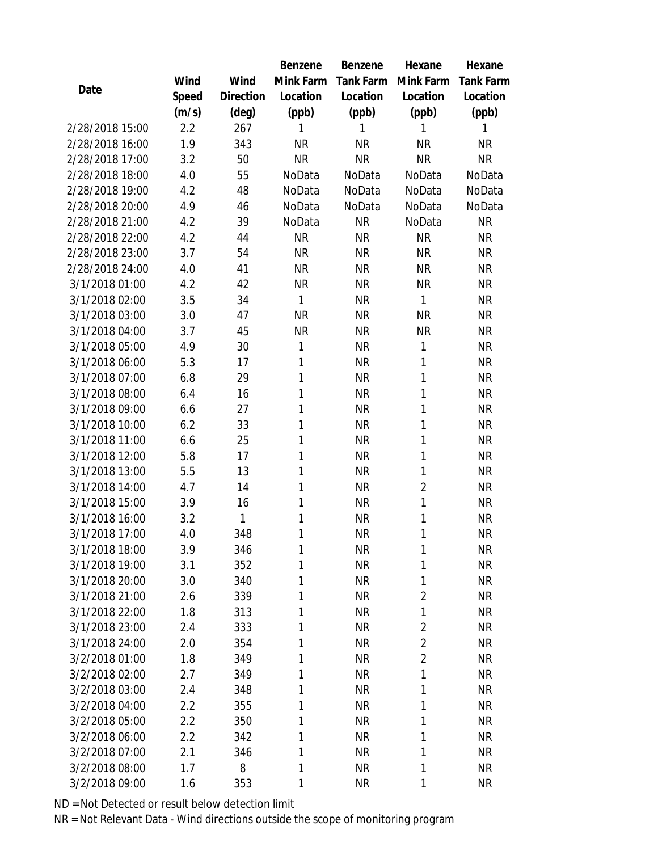|                 |       |           | Benzene   | Benzene          | Hexane         | Hexane           |
|-----------------|-------|-----------|-----------|------------------|----------------|------------------|
|                 | Wind  | Wind      | Mink Farm | <b>Tank Farm</b> | Mink Farm      | <b>Tank Farm</b> |
| Date            | Speed | Direction | Location  | Location         | Location       | Location         |
|                 | (m/s) | (deg)     | (ppb)     | (ppb)            | (ppb)          | (ppb)            |
| 2/28/2018 15:00 | 2.2   | 267       | 1         | 1                | 1              | 1                |
| 2/28/2018 16:00 | 1.9   | 343       | <b>NR</b> | <b>NR</b>        | <b>NR</b>      | <b>NR</b>        |
| 2/28/2018 17:00 | 3.2   | 50        | <b>NR</b> | <b>NR</b>        | <b>NR</b>      | <b>NR</b>        |
| 2/28/2018 18:00 | 4.0   | 55        | NoData    | NoData           | NoData         | NoData           |
| 2/28/2018 19:00 | 4.2   | 48        | NoData    | NoData           | NoData         | NoData           |
| 2/28/2018 20:00 | 4.9   | 46        | NoData    | NoData           | NoData         | NoData           |
| 2/28/2018 21:00 | 4.2   | 39        | NoData    | <b>NR</b>        | NoData         | <b>NR</b>        |
| 2/28/2018 22:00 | 4.2   | 44        | <b>NR</b> | <b>NR</b>        | <b>NR</b>      | <b>NR</b>        |
| 2/28/2018 23:00 | 3.7   | 54        | <b>NR</b> | <b>NR</b>        | <b>NR</b>      | <b>NR</b>        |
| 2/28/2018 24:00 | 4.0   | 41        | <b>NR</b> | <b>NR</b>        | <b>NR</b>      | <b>NR</b>        |
| 3/1/2018 01:00  | 4.2   | 42        | <b>NR</b> | <b>NR</b>        | <b>NR</b>      | <b>NR</b>        |
| 3/1/2018 02:00  | 3.5   | 34        | 1         | <b>NR</b>        | 1              | <b>NR</b>        |
| 3/1/2018 03:00  | 3.0   | 47        | <b>NR</b> | <b>NR</b>        | <b>NR</b>      | <b>NR</b>        |
| 3/1/2018 04:00  | 3.7   | 45        | <b>NR</b> | <b>NR</b>        | <b>NR</b>      | <b>NR</b>        |
| 3/1/2018 05:00  | 4.9   | 30        | 1         | <b>NR</b>        | 1              | <b>NR</b>        |
| 3/1/2018 06:00  | 5.3   | 17        | 1         | <b>NR</b>        | 1              | <b>NR</b>        |
| 3/1/2018 07:00  | 6.8   | 29        | 1         | <b>NR</b>        | 1              | <b>NR</b>        |
| 3/1/2018 08:00  | 6.4   | 16        | 1         | <b>NR</b>        | 1              | <b>NR</b>        |
| 3/1/2018 09:00  | 6.6   | 27        | 1         | <b>NR</b>        | 1              | <b>NR</b>        |
| 3/1/2018 10:00  | 6.2   | 33        | 1         | <b>NR</b>        | 1              | <b>NR</b>        |
| 3/1/2018 11:00  | 6.6   | 25        | 1         | <b>NR</b>        | 1              | <b>NR</b>        |
| 3/1/2018 12:00  | 5.8   | 17        | 1         | <b>NR</b>        | 1              | <b>NR</b>        |
| 3/1/2018 13:00  | 5.5   | 13        | 1         | <b>NR</b>        | 1              | <b>NR</b>        |
| 3/1/2018 14:00  | 4.7   | 14        | 1         | <b>NR</b>        | $\overline{2}$ | <b>NR</b>        |
| 3/1/2018 15:00  | 3.9   | 16        | 1         | <b>NR</b>        | 1              | <b>NR</b>        |
| 3/1/2018 16:00  | 3.2   | 1         | 1         | <b>NR</b>        | 1              | <b>NR</b>        |
| 3/1/2018 17:00  | 4.0   | 348       | 1         | <b>NR</b>        | 1              | <b>NR</b>        |
| 3/1/2018 18:00  | 3.9   | 346       | 1         | <b>NR</b>        | 1              | <b>NR</b>        |
| 3/1/2018 19:00  | 3.1   | 352       | 1         | <b>NR</b>        | 1              | <b>NR</b>        |
| 3/1/2018 20:00  | 3.0   | 340       | 1         | <b>NR</b>        | 1              | <b>NR</b>        |
| 3/1/2018 21:00  | 2.6   | 339       | 1         | <b>NR</b>        | $\overline{2}$ | <b>NR</b>        |
| 3/1/2018 22:00  | 1.8   | 313       | 1         | <b>NR</b>        | 1              | <b>NR</b>        |
| 3/1/2018 23:00  | 2.4   | 333       | 1         | <b>NR</b>        | $\overline{2}$ | NR               |
| 3/1/2018 24:00  | 2.0   | 354       | 1         | <b>NR</b>        | $\overline{2}$ | <b>NR</b>        |
| 3/2/2018 01:00  | 1.8   | 349       | 1         | <b>NR</b>        | $\overline{2}$ | NR.              |
| 3/2/2018 02:00  | 2.7   | 349       | 1         | <b>NR</b>        | 1              | <b>NR</b>        |
| 3/2/2018 03:00  | 2.4   | 348       | 1         | <b>NR</b>        | 1              | <b>NR</b>        |
| 3/2/2018 04:00  | 2.2   | 355       | 1         | <b>NR</b>        | 1              | <b>NR</b>        |
| 3/2/2018 05:00  | 2.2   | 350       | 1         | <b>NR</b>        | 1              | <b>NR</b>        |
| 3/2/2018 06:00  | 2.2   | 342       | 1         | <b>NR</b>        | 1              | NR               |
| 3/2/2018 07:00  | 2.1   | 346       | 1         | <b>NR</b>        | 1              | <b>NR</b>        |
| 3/2/2018 08:00  | 1.7   | 8         | 1         | <b>NR</b>        | 1              | <b>NR</b>        |
| 3/2/2018 09:00  | 1.6   | 353       | 1         | <b>NR</b>        | 1              | <b>NR</b>        |

ND = Not Detected or result below detection limit

NR = Not Relevant Data - Wind directions outside the scope of monitoring program